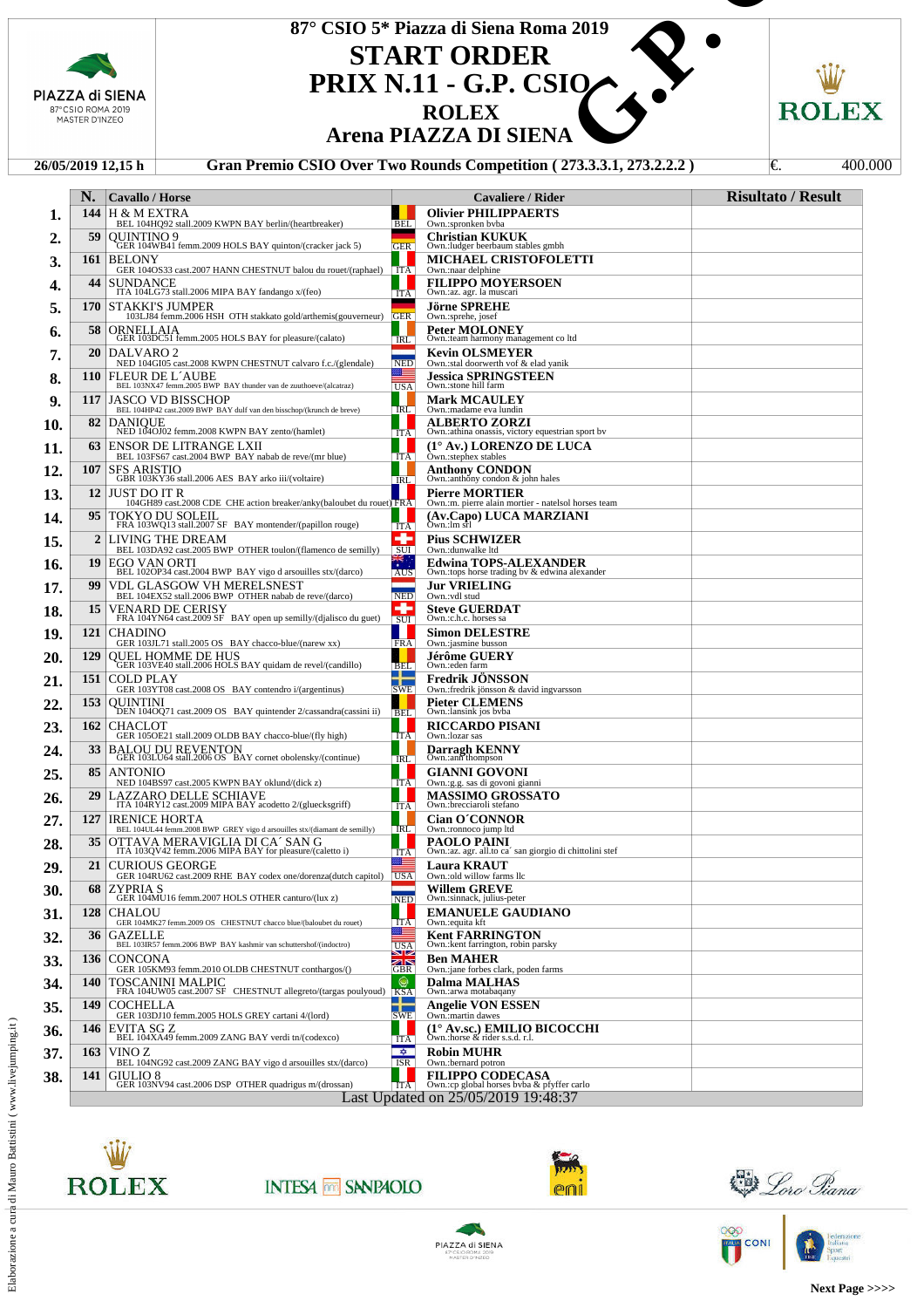|                           |                                     |                                                                                                                                                                                         |                                              | 87° CSIO 5* Piazza di Siena Roma 2019                                             |                           |  |
|---------------------------|-------------------------------------|-----------------------------------------------------------------------------------------------------------------------------------------------------------------------------------------|----------------------------------------------|-----------------------------------------------------------------------------------|---------------------------|--|
|                           |                                     |                                                                                                                                                                                         |                                              |                                                                                   |                           |  |
|                           |                                     |                                                                                                                                                                                         |                                              | <b>START ORDER</b>                                                                |                           |  |
|                           |                                     | PIAZZA di SIENA                                                                                                                                                                         | <b>PRIX N.11 - G.P. CSIQ</b><br><b>ROLEX</b> |                                                                                   |                           |  |
|                           | 87°CSIO ROMA 2019<br>MASTER D'INZEO |                                                                                                                                                                                         |                                              |                                                                                   | ROLEX                     |  |
|                           |                                     |                                                                                                                                                                                         |                                              | <b>Arena PIAZZA DI SIENA</b>                                                      |                           |  |
|                           |                                     | 26/05/2019 12.15 h                                                                                                                                                                      |                                              | Gran Premio CSIO Over Two Rounds Competition (273.3.3.1, 273.2.2.2)               | 400.000<br>I€.            |  |
|                           | N.                                  | <b>Cavallo / Horse</b>                                                                                                                                                                  |                                              | Cavaliere / Rider                                                                 | <b>Risultato / Result</b> |  |
| 1.                        | 144                                 | H & M EXTRA<br>BEL 104HQ92 stall.2009 KWPN BAY berlin/(heartbreaker)                                                                                                                    | <b>BEL</b>                                   | <b>Olivier PHILIPPAERTS</b><br>Own.:spronken bvba                                 |                           |  |
| 2.                        | 59                                  | OUINTINO 9<br>GER 104WB41 femm.2009 HOLS BAY quinton/(cracker jack 5)                                                                                                                   | <b>GER</b>                                   | <b>Christian KUKUK</b><br>Own.:ludger beerbaum stables gmbh                       |                           |  |
| 3.                        | 161                                 | <b>BELONY</b><br>GER 104OS33 cast.2007 HANN CHESTNUT balou du rouet/(raphael) [ITA]                                                                                                     |                                              | MICHAEL CRISTOFOLETTI<br>Own.:naar delphine                                       |                           |  |
| 4.                        |                                     | 44 ISUNDANCE<br>ITA 104LG73 stall.2006 MIPA BAY fandango x/(feo)                                                                                                                        | ш<br><b>ITA</b>                              | <b>FILIPPO MOYERSOEN</b><br>Own.:az. agr. la muscari                              |                           |  |
| 5.                        |                                     | 170   STAKKI'S JUMPER<br>103LJ84 femm.2006 HSH OTH stakkato gold/arthemis(gouverneur)                                                                                                   | <b>GER</b>                                   | <b>Jörne SPREHE</b><br>Own.:sprehe, josef                                         |                           |  |
| 6.                        | 58 I                                | ORNELLAIA<br>GER 103DC51 femm.2005 HOLS BAY for pleasure/(calato)                                                                                                                       | IRL                                          | <b>Peter MOLONEY</b><br>Own.:team harmony management co ltd                       |                           |  |
| 7.                        | 20 <sub>1</sub>                     | DALVARO <sub>2</sub><br>NED 104GI05 cast.2008 KWPN CHESTNUT calvaro f.c./(glendale)                                                                                                     | <b>NED</b>                                   | <b>Kevin OLSMEYER</b><br>Own.:stal doorwerth vof & elad yanik                     |                           |  |
| 8.                        |                                     | 110 FLEUR DE L'AUBE<br>BEL 103NX47 femm.2005 BWP BAY thunder van de zuuthoeve/(alcatraz)                                                                                                | 生<br><b>USA</b>                              | <b>Jessica SPRINGSTEEN</b><br>Own.:stone hill farm                                |                           |  |
| 9.                        | 117                                 | <b>JASCO VD BISSCHOP</b><br>BEL 104HP42 cast.2009 BWP BAY dulf van den bisschop/(krunch de breve)                                                                                       | <b>IRL</b>                                   | <b>Mark MCAULEY</b><br>Own.:madame eva lundin                                     |                           |  |
| 10.                       | 82 <sub>1</sub>                     | <b>DANIQUE</b><br>NED 104OJ02 femm.2008 KWPN BAY zento/(hamlet)                                                                                                                         | . .<br><b>ITA</b>                            | <b>ALBERTO ZORZI</b><br>Own.: athina onassis, victory equestrian sport by         |                           |  |
| 11.                       | 63                                  | <b>ENSOR DE LITRANGE LXII</b><br>BEL 103FS67 cast.2004 BWP BAY nabab de reve/(mr blue)                                                                                                  | . .<br><b>ITA</b>                            | (1° Av.) LORENZO DE LUCA<br>Own.:stephex stables                                  |                           |  |
| 12.                       | 107                                 | <b>SFS ARISTIO</b><br>GBR 103KY36 stall.2006 AES BAY arko iii/(voltaire)                                                                                                                | <b>IRL</b>                                   | Anthony CONDON<br>Own.: anthony condon & john hales                               |                           |  |
| 13.                       |                                     | 12 JUST DO IT R<br>104GH89 cast.2008 CDE CHE action breaker/anky(baloubet du rouet) FRA                                                                                                 |                                              | <b>Pierre MORTIER</b><br>Own.:m. pierre alain mortier - natelsol horses team      |                           |  |
| 14.                       |                                     | 95   TOKYO DU SOLEIL<br>FRA 103WQ13 stall.2007 SF BAY montender/(papillon rouge)                                                                                                        | a ka<br><b>ITA</b>                           | (Av.Capo) LUCA MARZIANI<br>Own.:1m srl                                            |                           |  |
| 15.                       | <sup>2</sup><br>19                  | LIVING THE DREAM<br>BEL 103DA92 cast.2005 BWP OTHER toulon/(flamenco de semilly)                                                                                                        | ÷<br>$\overline{\text{SUI}}$<br>带。           | <b>Pius SCHWIZER</b><br>Own.:dunwalke ltd<br><b>Edwina TOPS-ALEXANDER</b>         |                           |  |
| 16.                       | 99                                  | $\label{eq:EGO} \begin{array}{ll} \text{EGO VAN ORTI} \\ \text{BEL 102OP34 cast.} \\ \text{2004 BWP BAY vigo d areouilles stx/(darco)} \end{array}$<br><b>VDL GLASGOW VH MERELSNEST</b> | AUS                                          | Own.:tops horse trading by & edwina alexander<br><b>Jur VRIELING</b>              |                           |  |
| 17.<br>18.                | 15                                  | BEL 104EX52 stall.2006 BWP OTHER nabab de reve/(darco)                                                                                                                                  | <b>NED</b><br>÷                              | Own.:vdl stud<br><b>Steve GUERDAT</b>                                             |                           |  |
| 19.                       | 121                                 | VENARD DE CERISY<br>FRA 104YN64 cast.2009 SF BAY open up semilly/(djalisco du guet)<br><b>CHADINO</b>                                                                                   | SUI<br>a M                                   | Own.:c.h.c. horses sa<br><b>Simon DELESTRE</b>                                    |                           |  |
| 20.                       | <b>129</b>                          | GER 103JL71 stall.2005 OS BAY chacco-blue/(narew xx)<br>QUEL HOMME DE HUS                                                                                                               | <b>FRA</b>                                   | Own.:jasmine busson<br><b>Jérôme GUERY</b>                                        |                           |  |
| 21.                       | 151                                 | GER 103VE40 stall.2006 HOLS BAY quidam de revel/(candillo)<br><b>COLD PLAY</b>                                                                                                          | <b>BEL</b><br>╋                              | Own.:eden farm<br><b>Fredrik JONSSON</b>                                          |                           |  |
| 22.                       | 153                                 | GER 103YT08 cast.2008 OS BAY contendro i/(argentinus)<br><b>OUINTINI</b>                                                                                                                | <b>SWE</b>                                   | Own.: fredrik jönsson & david ingvarsson<br>Pieter CLEMENS                        |                           |  |
| 23.                       |                                     | DEN 104OQ71 cast.2009 OS BAY quintender 2/cassandra(cassini ii)<br>162   CHACLOT                                                                                                        | <b>BEL</b>                                   | Own.:lansink jos byba<br><b>RICCARDO PISANI</b>                                   |                           |  |
| 24.                       | 33 <sup>1</sup>                     | GER 105OE21 stall.2009 OLDB BAY chacco-blue/(fly high)<br>BALOU DU REVENTON<br>GER 103LU64 stall.2006 OS BAY cornet obolensky/(continue)                                                | <b>ITA</b><br><b>IRL</b>                     | Own.: lozar sas<br>Darragh KENNY<br>Own.:ann thompson                             |                           |  |
| 25.                       | 85 <sup>1</sup>                     | <b>ANTONIO</b><br>NED 104BS97 cast.2005 KWPN BAY oklund/(dick z)                                                                                                                        | <b>ITA</b>                                   | <b>GIANNI GOVONI</b><br>Own.:g.g. sas di govoni gianni                            |                           |  |
| 26.                       | 29                                  | LAZZARO DELLE SCHIAVE<br>ITA 104RY12 cast.2009 MIPA BAY acodetto 2/(gluecksgriff)                                                                                                       | H<br><b>ITA</b>                              | <b>MASSIMO GROSSATO</b><br>Own.:brecciaroli stefano                               |                           |  |
| 27.                       | 127                                 | <b>IRENICE HORTA</b><br>BEL 104UL44 femm.2008 BWP GREY vigo d arsouilles stx/(diamant de semilly)                                                                                       | <b>IRL</b>                                   | <b>Cian O'CONNOR</b><br>Own.:ronnoco jump ltd                                     |                           |  |
| 28.                       | 35 <sup>1</sup>                     | OTTAVA MERAVIGLIA DI CA´SAN G<br>ITA 103QV42 femm.2006 MIPA BAY for pleasure/(caletto i)                                                                                                | <b>ITA</b>                                   | PAOLO PAINI<br>Own.:az. agr. all.to ca' san giorgio di chittolini stef            |                           |  |
| 29.                       | 21                                  | <b>CURIOUS GEORGE</b><br>GER 104RU62 cast.2009 RHE BAY codex one/dorenza(dutch capitol)                                                                                                 | ≋≣<br><b>USA</b>                             | <b>Laura KRAUT</b><br>Own.:old willow farms llc                                   |                           |  |
| 30.                       | 68                                  | <b>ZYPRIAS</b><br>GER 104MU16 femm.2007 HOLS OTHER canturo/(lux z)                                                                                                                      | <b>NED</b>                                   | Willem GREVE<br>Own.:sinnack, julius-peter                                        |                           |  |
| 31.                       | 128                                 | <b>CHALOU</b><br>GER 104MK27 femm.2009 OS CHESTNUT chacco blue/(baloubet du rouet)                                                                                                      | <b>ITA</b><br>≋≡                             | <b>EMANUELE GAUDIANO</b><br>Own.: equita kft                                      |                           |  |
| 32.                       | 36 <sup>2</sup>                     | GAZELLE<br>BEL 103IR57 femm.2006 BWP BAY kashmir van schuttershof/(indoctro)                                                                                                            | <b>USA</b><br>صالحت                          | <b>Kent FARRINGTON</b><br>Own.: kent farrington, robin parsky                     |                           |  |
| 33.                       | 136                                 | <b>CONCONA</b><br>GER 105KM93 femm.2010 OLDB CHESTNUT conthargos/()                                                                                                                     | 不下<br><b>GBR</b><br>◉                        | <b>Ben MAHER</b><br>Own.: jane forbes clark, poden farms                          |                           |  |
| 34.                       | 140<br>149                          | <b>TOSCANINI MALPIC</b><br>FRA 104UW05 cast.2007 SF CHESTNUT allegreto/(targas poulyoud) KSA<br><b>COCHELLA</b>                                                                         | ┿                                            | Dalma MALHAS<br>Own.: arwa motabaqany<br>Angelie VON ESSEN                        |                           |  |
| 35.<br>36.                | <b>146</b>                          | GER 103DJ10 femm.2005 HOLS GREY cartani 4/(lord)<br>EVITA SG Z                                                                                                                          | <b>SWE</b><br>H                              | Own.:martin dawes<br>(1° Av.sc.) EMILIO BICOCCHI                                  |                           |  |
| 37.                       | 163                                 | BEL 104XA49 femm.2009 ZANG BAY verdi tn/(codexco)<br>VINO Z                                                                                                                             | ITA<br>- 0                                   | Own.:horse & rider s.s.d. r.l.<br><b>Robin MUHR</b>                               |                           |  |
| vww.livejumping.it<br>38. | 141                                 | BEL 104NG92 cast.2009 ZANG BAY vigo d arsouilles stx/(darco)<br>GIULIO 8                                                                                                                | <b>ISR</b>                                   | Own.:bernard potron<br><b>FILIPPO CODECASA</b>                                    |                           |  |
|                           |                                     | GER 103NV94 cast.2006 DSP OTHER quadrigus m/(drossan)                                                                                                                                   | ITA                                          | Own.:cp global horses byba & pfyffer carlo<br>Last Updated on 25/05/2019 19:48:37 |                           |  |



**INTESA M SANPAOLO** 



<u> Doro Giana</u>

 $\frac{1}{k}$ 

**ROO** CONI



Federazione<br>Italiana<br>Equestri